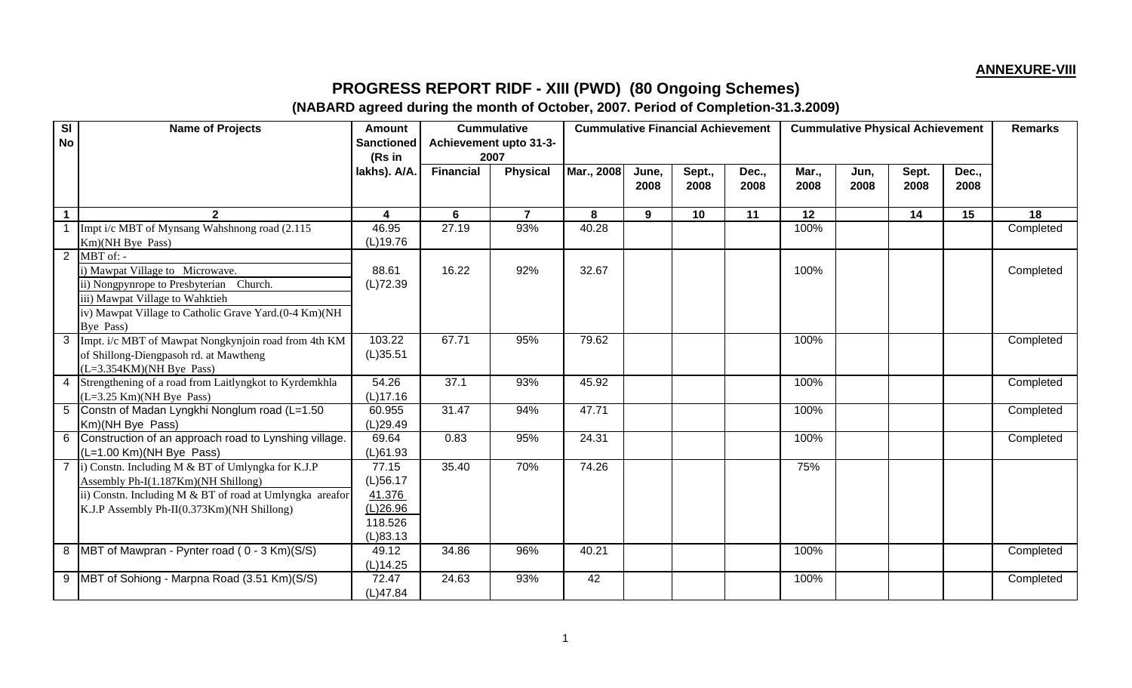## **ANNEXURE-VIII**

## **PROGRESS REPORT RIDF - XIII (PWD) (80 Ongoing Schemes)**

## **(NABARD agreed during the month of October, 2007. Period of Completion-31.3.2009)**

| SI<br><b>No</b> | <b>Name of Projects</b>                                                                  | <b>Amount</b><br><b>Sanctioned</b> |                  | <b>Cummulative</b><br>Achievement upto 31-3- |            |       | <b>Cummulative Financial Achievement</b> |       |       | <b>Cummulative Physical Achievement</b> |       |       |           |  |
|-----------------|------------------------------------------------------------------------------------------|------------------------------------|------------------|----------------------------------------------|------------|-------|------------------------------------------|-------|-------|-----------------------------------------|-------|-------|-----------|--|
|                 |                                                                                          | (Rs in<br>lakhs). A/A.             | <b>Financial</b> | 2007<br><b>Physical</b>                      | Mar., 2008 | June, | Sept.,                                   | Dec., | Mar., | Jun,                                    | Sept. | Dec., |           |  |
|                 |                                                                                          |                                    |                  |                                              |            | 2008  | 2008                                     | 2008  | 2008  | 2008                                    | 2008  | 2008  |           |  |
|                 |                                                                                          |                                    |                  |                                              |            |       |                                          |       |       |                                         |       |       |           |  |
|                 | $\mathbf{2}$                                                                             | 4                                  | 6                | $\overline{7}$                               | 8          | 9     | 10                                       | 11    | 12    |                                         | 14    | 15    | 18        |  |
|                 | Impt i/c MBT of Mynsang Wahshnong road (2.115)                                           | 46.95                              | 27.19            | 93%                                          | 40.28      |       |                                          |       | 100%  |                                         |       |       | Completed |  |
|                 | Km)(NH Bye Pass)                                                                         | (L)19.76                           |                  |                                              |            |       |                                          |       |       |                                         |       |       |           |  |
|                 | $2$ MBT of: -                                                                            |                                    |                  |                                              |            |       |                                          |       |       |                                         |       |       |           |  |
|                 | i) Mawpat Village to Microwave.                                                          | 88.61                              | 16.22            | 92%                                          | 32.67      |       |                                          |       | 100%  |                                         |       |       | Completed |  |
|                 | ii) Nongpynrope to Presbyterian Church.                                                  | (L)72.39                           |                  |                                              |            |       |                                          |       |       |                                         |       |       |           |  |
|                 | iii) Mawpat Village to Wahktieh<br>iv) Mawpat Village to Catholic Grave Yard.(0-4 Km)(NH |                                    |                  |                                              |            |       |                                          |       |       |                                         |       |       |           |  |
|                 | Bye Pass)                                                                                |                                    |                  |                                              |            |       |                                          |       |       |                                         |       |       |           |  |
|                 | 3 Impt. i/c MBT of Mawpat Nongkynjoin road from 4th KM                                   | 103.22                             | 67.71            | 95%                                          | 79.62      |       |                                          |       | 100%  |                                         |       |       | Completed |  |
|                 | of Shillong-Diengpasoh rd. at Mawtheng                                                   | (L)35.51                           |                  |                                              |            |       |                                          |       |       |                                         |       |       |           |  |
|                 | $(L=3.354KM)(NH Bye Pass)$                                                               |                                    |                  |                                              |            |       |                                          |       |       |                                         |       |       |           |  |
|                 | 4 Strengthening of a road from Laitlyngkot to Kyrdemkhla                                 | 54.26                              | 37.1             | 93%                                          | 45.92      |       |                                          |       | 100%  |                                         |       |       | Completed |  |
|                 | $(L=3.25$ Km $)$ (NH Bye Pass)                                                           | $(L)$ 17.16                        |                  |                                              |            |       |                                          |       |       |                                         |       |       |           |  |
|                 | 5 Constn of Madan Lyngkhi Nonglum road (L=1.50)                                          | 60.955                             | 31.47            | 94%                                          | 47.71      |       |                                          |       | 100%  |                                         |       |       | Completed |  |
|                 | Km)(NH Bye Pass)                                                                         | (L)29.49                           |                  |                                              |            |       |                                          |       |       |                                         |       |       |           |  |
|                 | 6 Construction of an approach road to Lynshing village.                                  | 69.64                              | 0.83             | 95%                                          | 24.31      |       |                                          |       | 100%  |                                         |       |       | Completed |  |
|                 | (L=1.00 Km)(NH Bye Pass)                                                                 | (L)61.93                           |                  |                                              |            |       |                                          |       |       |                                         |       |       |           |  |
|                 | 7  i) Constn. Including M & BT of Umlyngka for K.J.P                                     | 77.15                              | 35.40            | 70%                                          | 74.26      |       |                                          |       | 75%   |                                         |       |       |           |  |
|                 | Assembly Ph-I(1.187Km)(NH Shillong)                                                      | $(L)$ 56.17                        |                  |                                              |            |       |                                          |       |       |                                         |       |       |           |  |
|                 | ii) Constn. Including M & BT of road at Umlyngka areafor                                 | 41.376                             |                  |                                              |            |       |                                          |       |       |                                         |       |       |           |  |
|                 | K.J.P Assembly Ph-II(0.373Km)(NH Shillong)                                               | (L)26.96                           |                  |                                              |            |       |                                          |       |       |                                         |       |       |           |  |
|                 |                                                                                          | 118.526                            |                  |                                              |            |       |                                          |       |       |                                         |       |       |           |  |
|                 |                                                                                          | (L)83.13                           |                  |                                              |            |       |                                          |       |       |                                         |       |       |           |  |
|                 | 8 MBT of Mawpran - Pynter road (0 - 3 Km)(S/S)                                           | 49.12                              | 34.86            | 96%                                          | 40.21      |       |                                          |       | 100%  |                                         |       |       | Completed |  |
|                 |                                                                                          | (L)14.25                           |                  |                                              |            |       |                                          |       |       |                                         |       |       |           |  |
|                 | 9 MBT of Sohiong - Marpna Road (3.51 Km)(S/S)                                            | 72.47                              | 24.63            | 93%                                          | 42         |       |                                          |       | 100%  |                                         |       |       | Completed |  |
|                 |                                                                                          | (L)47.84                           |                  |                                              |            |       |                                          |       |       |                                         |       |       |           |  |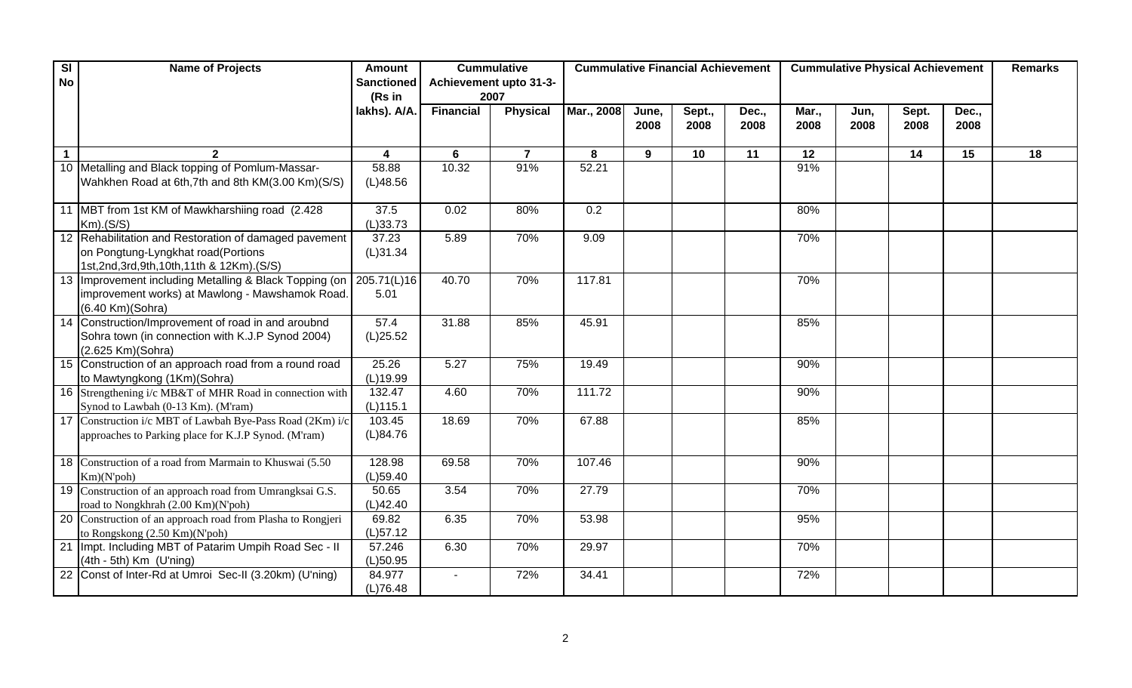| $\overline{\mathbf{S}}$ | <b>Name of Projects</b>                                                                           | <b>Amount</b>           | <b>Cummulative</b> |                        | <b>Cummulative Financial Achievement</b> |       |        |       | <b>Cummulative Physical Achievement</b> | <b>Remarks</b> |       |       |    |
|-------------------------|---------------------------------------------------------------------------------------------------|-------------------------|--------------------|------------------------|------------------------------------------|-------|--------|-------|-----------------------------------------|----------------|-------|-------|----|
| <b>No</b>               |                                                                                                   | <b>Sanctioned</b>       |                    | Achievement upto 31-3- |                                          |       |        |       |                                         |                |       |       |    |
|                         |                                                                                                   | (Rs in                  | 2007               |                        |                                          |       |        |       |                                         |                |       |       |    |
|                         |                                                                                                   | lakhs). A/A.            | <b>Financial</b>   | <b>Physical</b>        | Mar., 2008                               | June, | Sept., | Dec., | Mar.,                                   | Jun,           | Sept. | Dec., |    |
|                         |                                                                                                   |                         |                    |                        |                                          | 2008  | 2008   | 2008  | 2008                                    | 2008           | 2008  | 2008  |    |
| $\mathbf{1}$            |                                                                                                   | $\overline{\mathbf{4}}$ | 6                  | $\overline{7}$         | 8                                        | 9     | 10     | 11    | 12                                      |                | 14    | 15    | 18 |
|                         | 10 Metalling and Black topping of Pomlum-Massar-                                                  | 58.88                   | 10.32              | 91%                    | 52.21                                    |       |        |       | 91%                                     |                |       |       |    |
|                         | Wahkhen Road at 6th, 7th and 8th KM(3.00 Km)(S/S)                                                 | (L)48.56                |                    |                        |                                          |       |        |       |                                         |                |       |       |    |
|                         |                                                                                                   |                         |                    |                        |                                          |       |        |       |                                         |                |       |       |    |
|                         | 11 MBT from 1st KM of Mawkharshiing road (2.428)                                                  | 37.5                    | 0.02               | 80%                    | 0.2                                      |       |        |       | 80%                                     |                |       |       |    |
|                         | $Km)$ . $(S/S)$<br>12 Rehabilitation and Restoration of damaged pavement                          | (L)33.73<br>37.23       | 5.89               | 70%                    | 9.09                                     |       |        |       | 70%                                     |                |       |       |    |
|                         | on Pongtung-Lyngkhat road(Portions                                                                | (L)31.34                |                    |                        |                                          |       |        |       |                                         |                |       |       |    |
|                         | 1st, 2nd, 3rd, 9th, 10th, 11th & 12Km). (S/S)                                                     |                         |                    |                        |                                          |       |        |       |                                         |                |       |       |    |
|                         | 13 Improvement including Metalling & Black Topping (on                                            | 205.71(L)16             | 40.70              | 70%                    | 117.81                                   |       |        |       | 70%                                     |                |       |       |    |
|                         | improvement works) at Mawlong - Mawshamok Road.                                                   | 5.01                    |                    |                        |                                          |       |        |       |                                         |                |       |       |    |
|                         | (6.40 Km)(Sohra)                                                                                  |                         |                    |                        |                                          |       |        |       |                                         |                |       |       |    |
|                         | 14 Construction/Improvement of road in and aroubnd                                                | 57.4                    | 31.88              | 85%                    | 45.91                                    |       |        |       | 85%                                     |                |       |       |    |
|                         | Sohra town (in connection with K.J.P Synod 2004)                                                  | (L)25.52                |                    |                        |                                          |       |        |       |                                         |                |       |       |    |
|                         | (2.625 Km)(Sohra)                                                                                 |                         |                    |                        |                                          |       |        |       |                                         |                |       |       |    |
|                         | 15 Construction of an approach road from a round road<br>to Mawtyngkong (1Km)(Sohra)              | 25.26<br>(L)19.99       | 5.27               | 75%                    | 19.49                                    |       |        |       | 90%                                     |                |       |       |    |
|                         | 16 Strengthening i/c MB&T of MHR Road in connection with                                          | 132.47                  | 4.60               | 70%                    | 111.72                                   |       |        |       | 90%                                     |                |       |       |    |
|                         | Synod to Lawbah (0-13 Km). (M'ram)                                                                | (L)115.1                |                    |                        |                                          |       |        |       |                                         |                |       |       |    |
|                         | 17 Construction i/c MBT of Lawbah Bye-Pass Road (2Km) i/c                                         | 103.45                  | 18.69              | 70%                    | 67.88                                    |       |        |       | 85%                                     |                |       |       |    |
|                         | approaches to Parking place for K.J.P Synod. (M'ram)                                              | (L)84.76                |                    |                        |                                          |       |        |       |                                         |                |       |       |    |
|                         |                                                                                                   |                         |                    |                        |                                          |       |        |       |                                         |                |       |       |    |
|                         | 18 Construction of a road from Marmain to Khuswai (5.50)                                          | 128.98                  | 69.58              | 70%                    | 107.46                                   |       |        |       | 90%                                     |                |       |       |    |
|                         | Km)(N'poh)                                                                                        | $(L)$ 59.40             |                    |                        |                                          |       |        |       |                                         |                |       |       |    |
|                         | 19 Construction of an approach road from Umrangksai G.S.                                          | 50.65                   | 3.54               | 70%                    | 27.79                                    |       |        |       | 70%                                     |                |       |       |    |
|                         | road to Nongkhrah (2.00 Km)(N'poh)<br>20 Construction of an approach road from Plasha to Rongjeri | (L)42.40<br>69.82       | 6.35               | 70%                    | 53.98                                    |       |        |       | 95%                                     |                |       |       |    |
|                         | to Rongskong (2.50 Km)(N'poh)                                                                     | $(L)$ 57.12             |                    |                        |                                          |       |        |       |                                         |                |       |       |    |
|                         | 21   Impt. Including MBT of Patarim Umpih Road Sec - II                                           | 57.246                  | 6.30               | 70%                    | 29.97                                    |       |        |       | 70%                                     |                |       |       |    |
|                         | $(4th - 5th)$ Km $(U'ning)$                                                                       | (L)50.95                |                    |                        |                                          |       |        |       |                                         |                |       |       |    |
|                         | 22 Const of Inter-Rd at Umroi Sec-II (3.20km) (U'ning)                                            | 84.977                  |                    | 72%                    | 34.41                                    |       |        |       | 72%                                     |                |       |       |    |
|                         |                                                                                                   | (L)76.48                |                    |                        |                                          |       |        |       |                                         |                |       |       |    |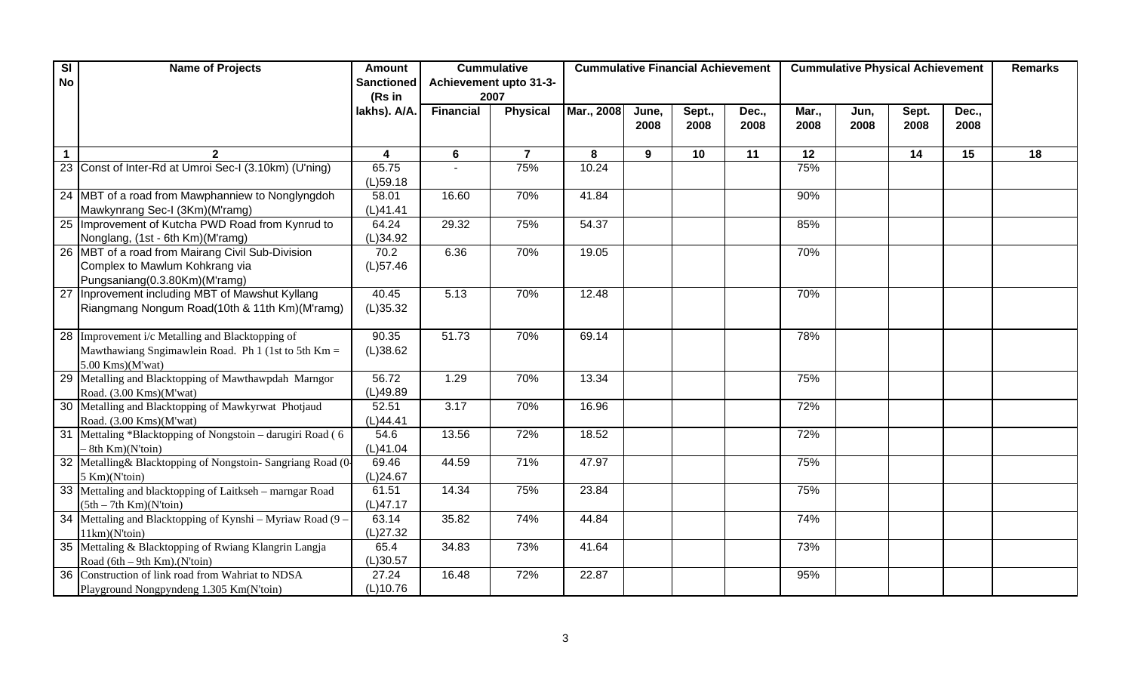| SI           | <b>Name of Projects</b>                                     | <b>Amount</b>     |                  | <b>Cummulative</b>     | <b>Cummulative Financial Achievement</b> |       |        |       | <b>Cummulative Physical Achievement</b> | <b>Remarks</b> |       |       |    |
|--------------|-------------------------------------------------------------|-------------------|------------------|------------------------|------------------------------------------|-------|--------|-------|-----------------------------------------|----------------|-------|-------|----|
| <b>No</b>    |                                                             | <b>Sanctioned</b> |                  | Achievement upto 31-3- |                                          |       |        |       |                                         |                |       |       |    |
|              |                                                             | (Rs in            | 2007             |                        |                                          |       |        |       |                                         |                |       |       |    |
|              |                                                             | lakhs). A/A.      | <b>Financial</b> | <b>Physical</b>        | Mar., 2008                               | June, | Sept., | Dec., | Mar.,                                   | Jun,           | Sept. | Dec., |    |
|              |                                                             |                   |                  |                        |                                          | 2008  | 2008   | 2008  | 2008                                    | 2008           | 2008  | 2008  |    |
|              |                                                             |                   |                  |                        |                                          |       |        |       |                                         |                |       |       |    |
| $\mathbf{1}$ |                                                             | 4                 | 6                | $\overline{7}$         | 8                                        | 9     | 10     | 11    | 12                                      |                | 14    | 15    | 18 |
|              | 23 Const of Inter-Rd at Umroi Sec-I (3.10km) (U'ning)       | 65.75             |                  | 75%                    | 10.24                                    |       |        |       | 75%                                     |                |       |       |    |
|              |                                                             | $(L)$ 59.18       |                  |                        |                                          |       |        |       |                                         |                |       |       |    |
|              | 24 MBT of a road from Mawphanniew to Nonglyngdoh            | 58.01             | 16.60            | 70%                    | 41.84                                    |       |        |       | 90%                                     |                |       |       |    |
|              | Mawkynrang Sec-I (3Km)(M'ramg)                              | (L)41.41          |                  |                        |                                          |       |        |       |                                         |                |       |       |    |
|              | 25 Improvement of Kutcha PWD Road from Kynrud to            | 64.24             | 29.32            | 75%                    | 54.37                                    |       |        |       | 85%                                     |                |       |       |    |
|              | Nonglang, (1st - 6th Km)(M'ramg)                            | (L)34.92          |                  |                        |                                          |       |        |       |                                         |                |       |       |    |
|              | 26 MBT of a road from Mairang Civil Sub-Division            | 70.2              | 6.36             | 70%                    | 19.05                                    |       |        |       | 70%                                     |                |       |       |    |
|              | Complex to Mawlum Kohkrang via                              | $(L)$ 57.46       |                  |                        |                                          |       |        |       |                                         |                |       |       |    |
|              | Pungsaniang(0.3.80Km)(M'ramg)                               |                   |                  |                        |                                          |       |        |       |                                         |                |       |       |    |
|              | 27 Inprovement including MBT of Mawshut Kyllang             | 40.45             | 5.13             | 70%                    | 12.48                                    |       |        |       | 70%                                     |                |       |       |    |
|              | Riangmang Nongum Road(10th & 11th Km)(M'ramg)               | (L)35.32          |                  |                        |                                          |       |        |       |                                         |                |       |       |    |
|              |                                                             |                   |                  |                        |                                          |       |        |       |                                         |                |       |       |    |
|              | 28 Improvement i/c Metalling and Blacktopping of            | 90.35             | 51.73            | 70%                    | 69.14                                    |       |        |       | 78%                                     |                |       |       |    |
|              | Mawthawiang Sngimawlein Road. Ph 1 (1st to 5th Km =         | (L)38.62          |                  |                        |                                          |       |        |       |                                         |                |       |       |    |
|              | $5.00$ Kms)(M'wat)                                          |                   |                  |                        |                                          |       |        |       |                                         |                |       |       |    |
|              | 29 Metalling and Blacktopping of Mawthawpdah Marngor        | 56.72             | 1.29             | 70%                    | 13.34                                    |       |        |       | 75%                                     |                |       |       |    |
|              | Road. (3.00 Kms)(M'wat)                                     | (L)49.89          |                  |                        |                                          |       |        |       |                                         |                |       |       |    |
|              | 30 Metalling and Blacktopping of Mawkyrwat Photjaud         | 52.51             | 3.17             | 70%                    | 16.96                                    |       |        |       | 72%                                     |                |       |       |    |
|              | Road. (3.00 Kms)(M'wat)                                     | (L)44.41          |                  |                        |                                          |       |        |       |                                         |                |       |       |    |
|              | 31 Mettaling *Blacktopping of Nongstoin – darugiri Road (6) | 54.6              | 13.56            | 72%                    | 18.52                                    |       |        |       | 72%                                     |                |       |       |    |
|              | $- 8th$ Km $)(N$ toin $)$                                   | (L)41.04          |                  |                        |                                          |       |        |       |                                         |                |       |       |    |
|              | 32 Metalling& Blacktopping of Nongstoin-Sangriang Road (0-  | 69.46             | 44.59            | 71%                    | 47.97                                    |       |        |       | 75%                                     |                |       |       |    |
|              | 5 Km)(N'toin)                                               | (L)24.67          |                  |                        |                                          |       |        |       |                                         |                |       |       |    |
|              | 33 Mettaling and blacktopping of Laitkseh – marngar Road    | 61.51             | 14.34            | 75%                    | 23.84                                    |       |        |       | 75%                                     |                |       |       |    |
|              | $(5th - 7th Km)(N'toin)$                                    | (L)47.17          |                  |                        |                                          |       |        |       |                                         |                |       |       |    |
|              | 34 Mettaling and Blacktopping of Kynshi - Myriaw Road (9 -  | 63.14             | 35.82            | 74%                    | 44.84                                    |       |        |       | 74%                                     |                |       |       |    |
|              | 11km)(N'toin)                                               | (L)27.32          |                  |                        |                                          |       |        |       |                                         |                |       |       |    |
|              | 35 Mettaling & Blacktopping of Rwiang Klangrin Langja       | 65.4              | 34.83            | 73%                    | 41.64                                    |       |        |       | 73%                                     |                |       |       |    |
|              | Road $(6th - 9th Km)$ . (N'toin)                            | (L)30.57<br>27.24 | 16.48            | 72%                    | 22.87                                    |       |        |       | 95%                                     |                |       |       |    |
|              | 36 Construction of link road from Wahriat to NDSA           |                   |                  |                        |                                          |       |        |       |                                         |                |       |       |    |
|              | Playground Nongpyndeng 1.305 Km(N'toin)                     | (L)10.76          |                  |                        |                                          |       |        |       |                                         |                |       |       |    |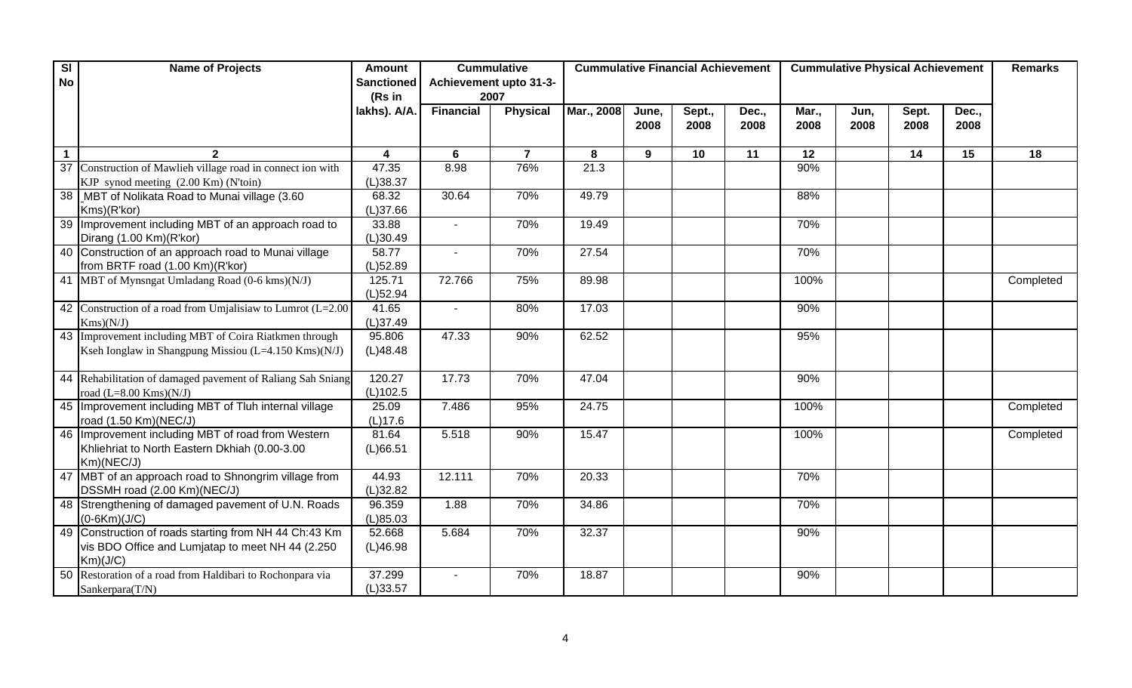| SI           | <b>Name of Projects</b>                                        | <b>Amount</b>           |                  | <b>Cummulative</b><br><b>Cummulative Financial Achievement</b> |            |       |        |       |       |      | <b>Cummulative Physical Achievement</b> |       | <b>Remarks</b> |  |
|--------------|----------------------------------------------------------------|-------------------------|------------------|----------------------------------------------------------------|------------|-------|--------|-------|-------|------|-----------------------------------------|-------|----------------|--|
| <b>No</b>    |                                                                | <b>Sanctioned</b>       |                  | Achievement upto 31-3-                                         |            |       |        |       |       |      |                                         |       |                |  |
|              |                                                                | (Rs in                  |                  | 2007                                                           |            |       |        |       |       |      |                                         |       |                |  |
|              |                                                                | lakhs). A/A.            | <b>Financial</b> | <b>Physical</b>                                                | Mar., 2008 | June, | Sept., | Dec., | Mar., | Jun, | Sept.                                   | Dec., |                |  |
|              |                                                                |                         |                  |                                                                |            | 2008  | 2008   | 2008  | 2008  | 2008 | 2008                                    | 2008  |                |  |
|              |                                                                |                         |                  |                                                                |            |       |        |       |       |      |                                         |       |                |  |
| $\mathbf{1}$ |                                                                | $\overline{\mathbf{4}}$ | 6                | $\overline{7}$                                                 | 8          | 9     | 10     | 11    | 12    |      | 14                                      | 15    | 18             |  |
|              | 37 Construction of Mawlieh village road in connect ion with    | 47.35                   | 8.98             | 76%                                                            | 21.3       |       |        |       | 90%   |      |                                         |       |                |  |
|              | KJP synod meeting (2.00 Km) (N'toin)                           | (L)38.37                |                  |                                                                |            |       |        |       |       |      |                                         |       |                |  |
|              | 38   MBT of Nolikata Road to Munai village (3.60               | 68.32                   | 30.64            | 70%                                                            | 49.79      |       |        |       | 88%   |      |                                         |       |                |  |
|              | Kms)(R'kor)                                                    | (L)37.66                |                  |                                                                |            |       |        |       |       |      |                                         |       |                |  |
|              | 39 Improvement including MBT of an approach road to            | 33.88                   |                  | 70%                                                            | 19.49      |       |        |       | 70%   |      |                                         |       |                |  |
|              | Dirang (1.00 Km)(R'kor)                                        | (L)30.49                |                  |                                                                |            |       |        |       |       |      |                                         |       |                |  |
|              | 40 Construction of an approach road to Munai village           | 58.77                   |                  | 70%                                                            | 27.54      |       |        |       | 70%   |      |                                         |       |                |  |
|              | from BRTF road (1.00 Km)(R'kor)                                | $(L)$ 52.89             |                  |                                                                |            |       |        |       |       |      |                                         |       |                |  |
|              | 41 MBT of Mynsngat Umladang Road (0-6 kms)(N/J)                | 125.71                  | 72.766           | 75%                                                            | 89.98      |       |        |       | 100%  |      |                                         |       | Completed      |  |
|              |                                                                | $(L)$ 52.94             |                  |                                                                |            |       |        |       |       |      |                                         |       |                |  |
|              | 42 Construction of a road from Umjalisiaw to Lumrot $(L=2.00)$ | 41.65                   | $\sim$           | 80%                                                            | 17.03      |       |        |       | 90%   |      |                                         |       |                |  |
|              | Kms)(N/J)                                                      | (L)37.49                |                  |                                                                |            |       |        |       |       |      |                                         |       |                |  |
|              | 43 Improvement including MBT of Coira Riatkmen through         | 95.806                  | 47.33            | 90%                                                            | 62.52      |       |        |       | 95%   |      |                                         |       |                |  |
|              | Kseh Ionglaw in Shangpung Missiou (L=4.150 Kms)(N/J)           | (L)48.48                |                  |                                                                |            |       |        |       |       |      |                                         |       |                |  |
|              |                                                                |                         |                  |                                                                |            |       |        |       |       |      |                                         |       |                |  |
|              | 44 Rehabilitation of damaged pavement of Raliang Sah Sniang    | 120.27                  | 17.73            | 70%                                                            | 47.04      |       |        |       | 90%   |      |                                         |       |                |  |
|              | road $(L=8.00$ Kms $)(N/J)$                                    | (L)102.5                |                  |                                                                |            |       |        |       |       |      |                                         |       |                |  |
|              | 45 Improvement including MBT of Tluh internal village          | 25.09                   | 7.486            | 95%                                                            | 24.75      |       |        |       | 100%  |      |                                         |       | Completed      |  |
|              | road (1.50 Km)(NEC/J)                                          | (L)17.6                 |                  |                                                                |            |       |        |       |       |      |                                         |       |                |  |
|              | 46   Improvement including MBT of road from Western            | 81.64                   | 5.518            | 90%                                                            | 15.47      |       |        |       | 100%  |      |                                         |       | Completed      |  |
|              | Khliehriat to North Eastern Dkhiah (0.00-3.00                  | (L)66.51                |                  |                                                                |            |       |        |       |       |      |                                         |       |                |  |
|              | Km)(NEC/J)                                                     |                         |                  |                                                                |            |       |        |       |       |      |                                         |       |                |  |
|              | 47 MBT of an approach road to Shnongrim village from           | 44.93                   | 12.111           | 70%                                                            | 20.33      |       |        |       | 70%   |      |                                         |       |                |  |
|              | DSSMH road (2.00 Km)(NEC/J)                                    | (L)32.82                |                  |                                                                |            |       |        |       |       |      |                                         |       |                |  |
|              | 48 Strengthening of damaged pavement of U.N. Roads             | 96.359                  | 1.88             | 70%                                                            | 34.86      |       |        |       | 70%   |      |                                         |       |                |  |
|              | $(0-6Km)(J/C)$                                                 | (L)85.03                |                  |                                                                |            |       |        |       |       |      |                                         |       |                |  |
|              | 49 Construction of roads starting from NH 44 Ch:43 Km          | 52.668                  | 5.684            | 70%                                                            | 32.37      |       |        |       | 90%   |      |                                         |       |                |  |
|              | vis BDO Office and Lumjatap to meet NH 44 (2.250               | (L)46.98                |                  |                                                                |            |       |        |       |       |      |                                         |       |                |  |
|              | Km)(J/C)                                                       |                         |                  |                                                                |            |       |        |       |       |      |                                         |       |                |  |
|              | 50 Restoration of a road from Haldibari to Rochonpara via      | 37.299                  |                  | 70%                                                            | 18.87      |       |        |       | 90%   |      |                                         |       |                |  |
|              | Sankerpara(T/N)                                                | (L)33.57                |                  |                                                                |            |       |        |       |       |      |                                         |       |                |  |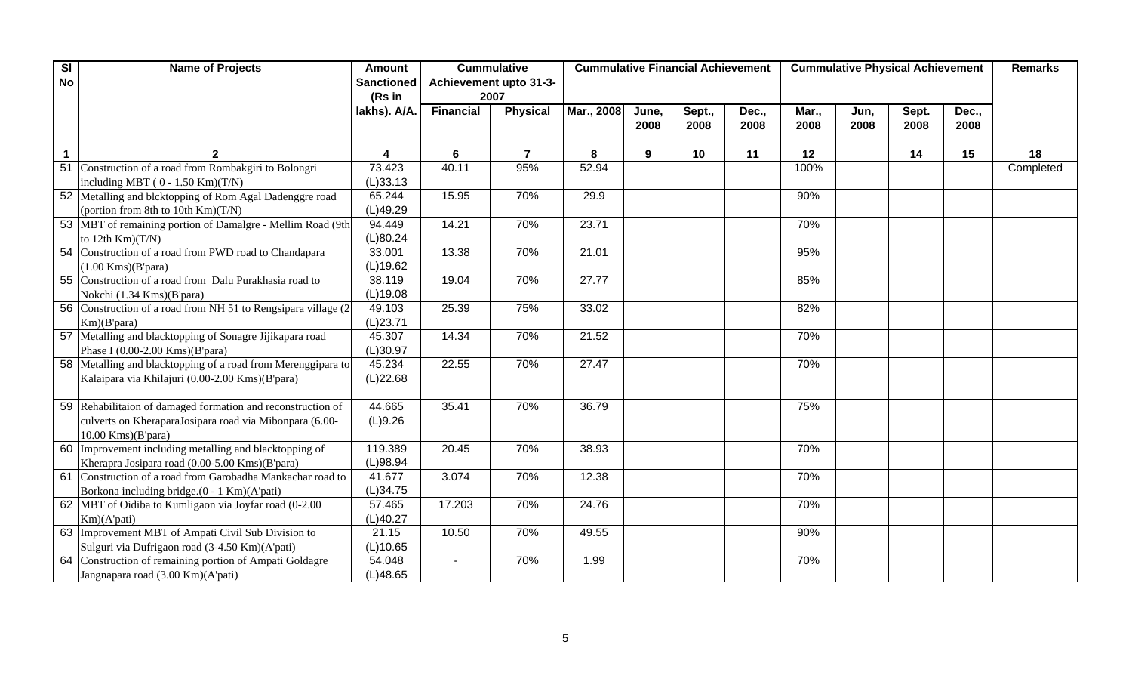| SI          | <b>Name of Projects</b>                                        | <b>Amount</b>     | <b>Cummulative</b> |                        | <b>Cummulative Financial Achievement</b><br><b>Cummulative Physical Achievement</b> |       |        |       |       |      |       | <b>Remarks</b> |           |
|-------------|----------------------------------------------------------------|-------------------|--------------------|------------------------|-------------------------------------------------------------------------------------|-------|--------|-------|-------|------|-------|----------------|-----------|
| <b>No</b>   |                                                                | <b>Sanctioned</b> |                    | Achievement upto 31-3- |                                                                                     |       |        |       |       |      |       |                |           |
|             |                                                                | (Rs in            | 2007               |                        |                                                                                     |       |        |       |       |      |       |                |           |
|             |                                                                | lakhs). A/A.      | <b>Financial</b>   | <b>Physical</b>        | Mar., 2008                                                                          | June, | Sept., | Dec., | Mar., | Jun, | Sept. | Dec.,          |           |
|             |                                                                |                   |                    |                        |                                                                                     | 2008  | 2008   | 2008  | 2008  | 2008 | 2008  | 2008           |           |
|             |                                                                |                   |                    |                        |                                                                                     |       |        |       |       |      |       |                |           |
| $\mathbf 1$ |                                                                | 4                 | 6                  | $\overline{7}$         | 8                                                                                   | 9     | 10     | 11    | 12    |      | 14    | 15             | 18        |
|             | 51 Construction of a road from Rombakgiri to Bolongri          | 73.423            | 40.11              | 95%                    | 52.94                                                                               |       |        |       | 100%  |      |       |                | Completed |
|             | including MBT ( $0 - 1.50$ Km) $(T/N)$                         | (L)33.13          |                    |                        |                                                                                     |       |        |       |       |      |       |                |           |
|             | 52 Metalling and blcktopping of Rom Agal Dadenggre road        | 65.244            | 15.95              | 70%                    | 29.9                                                                                |       |        |       | 90%   |      |       |                |           |
|             | (portion from 8th to 10th $Km(T/N)$ )                          | (L)49.29          |                    |                        |                                                                                     |       |        |       |       |      |       |                |           |
|             | 53 MBT of remaining portion of Damalgre - Mellim Road (9th     | 94.449            | 14.21              | 70%                    | 23.71                                                                               |       |        |       | 70%   |      |       |                |           |
|             | to 12th $Km(T/N)$                                              | (L)80.24          |                    |                        |                                                                                     |       |        |       |       |      |       |                |           |
|             | 54 Construction of a road from PWD road to Chandapara          | 33.001            | 13.38              | 70%                    | 21.01                                                                               |       |        |       | 95%   |      |       |                |           |
|             | $(1.00$ Kms $)(B'$ para)                                       | (L)19.62          |                    |                        |                                                                                     |       |        |       |       |      |       |                |           |
|             | 55 Construction of a road from Dalu Purakhasia road to         | 38.119            | 19.04              | 70%                    | 27.77                                                                               |       |        |       | 85%   |      |       |                |           |
|             | Nokchi (1.34 Kms)(B'para)                                      | (L)19.08          |                    |                        |                                                                                     |       |        |       |       |      |       |                |           |
|             | 56 Construction of a road from NH 51 to Rengsipara village (2) | 49.103            | 25.39              | 75%                    | 33.02                                                                               |       |        |       | 82%   |      |       |                |           |
|             | Km)(B'para)                                                    | (L)23.71          |                    |                        |                                                                                     |       |        |       |       |      |       |                |           |
|             | 57 Metalling and blacktopping of Sonagre Jijikapara road       | 45.307            | 14.34              | 70%                    | 21.52                                                                               |       |        |       | 70%   |      |       |                |           |
|             | Phase I $(0.00-2.00$ Kms $)(B'para)$                           | (L)30.97          |                    |                        |                                                                                     |       |        |       |       |      |       |                |           |
|             | 58 Metalling and blacktopping of a road from Merenggipara to   | 45.234            | 22.55              | 70%                    | 27.47                                                                               |       |        |       | 70%   |      |       |                |           |
|             | Kalaipara via Khilajuri (0.00-2.00 Kms)(B'para)                | (L)22.68          |                    |                        |                                                                                     |       |        |       |       |      |       |                |           |
|             |                                                                |                   |                    |                        |                                                                                     |       |        |       |       |      |       |                |           |
|             | 59 Rehabilitaion of damaged formation and reconstruction of    | 44.665            | 35.41              | 70%                    | 36.79                                                                               |       |        |       | 75%   |      |       |                |           |
|             | culverts on KheraparaJosipara road via Mibonpara (6.00-        | (L)9.26           |                    |                        |                                                                                     |       |        |       |       |      |       |                |           |
|             | $10.00$ Kms $)(B'para)$                                        |                   |                    |                        |                                                                                     |       |        |       |       |      |       |                |           |
|             | 60 Improvement including metalling and blacktopping of         | 119.389           | 20.45              | 70%                    | 38.93                                                                               |       |        |       | 70%   |      |       |                |           |
|             | Kherapra Josipara road (0.00-5.00 Kms)(B'para)                 | (L)98.94          |                    |                        |                                                                                     |       |        |       |       |      |       |                |           |
|             | 61 Construction of a road from Garobadha Mankachar road to     | 41.677            | 3.074              | 70%                    | 12.38                                                                               |       |        |       | 70%   |      |       |                |           |
|             | Borkona including bridge.(0 - 1 Km)(A'pati)                    | (L)34.75          |                    |                        |                                                                                     |       |        |       |       |      |       |                |           |
|             | 62 MBT of Oidiba to Kumligaon via Joyfar road (0-2.00)         | 57.465            | 17.203             | 70%                    | 24.76                                                                               |       |        |       | 70%   |      |       |                |           |
|             | Km)(A'pati)                                                    | (L)40.27          |                    |                        |                                                                                     |       |        |       |       |      |       |                |           |
|             | 63 Improvement MBT of Ampati Civil Sub Division to             | 21.15             | 10.50              | 70%                    | 49.55                                                                               |       |        |       | 90%   |      |       |                |           |
|             | Sulguri via Dufrigaon road (3-4.50 Km)(A'pati)                 | (L)10.65          |                    |                        |                                                                                     |       |        |       |       |      |       |                |           |
|             | 64 Construction of remaining portion of Ampati Goldagre        | 54.048            |                    | 70%                    | 1.99                                                                                |       |        |       | 70%   |      |       |                |           |
|             | Jangnapara road (3.00 Km)(A'pati)                              | (L)48.65          |                    |                        |                                                                                     |       |        |       |       |      |       |                |           |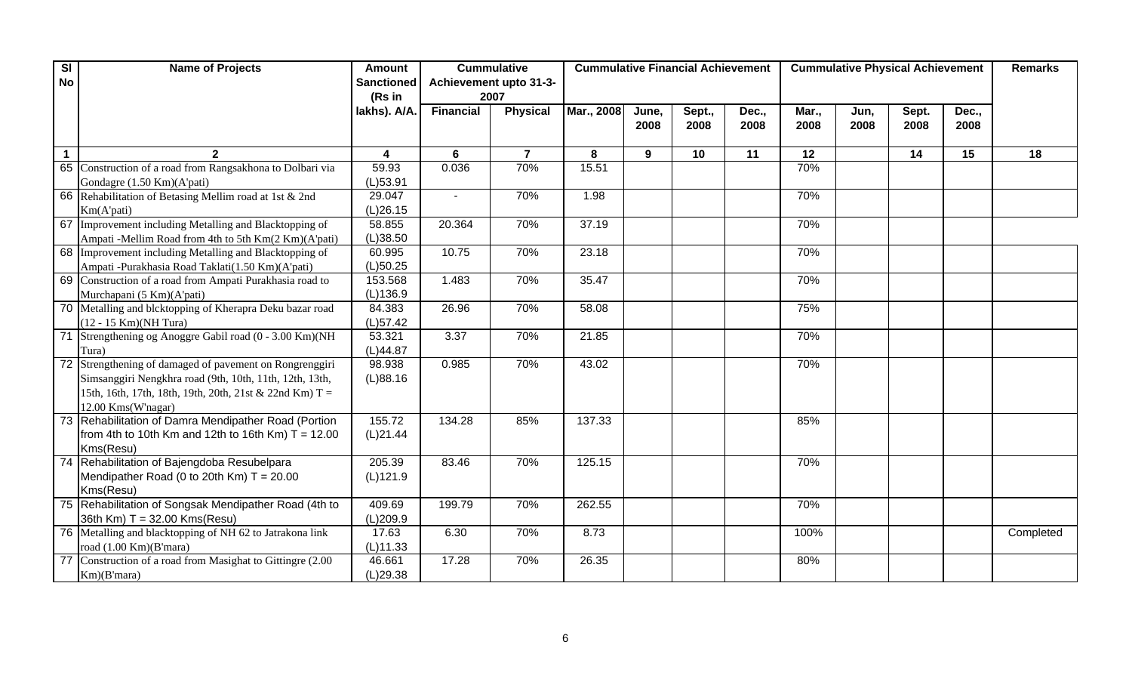| $\overline{\mathbf{s}}$ | <b>Name of Projects</b>                                     | <b>Amount</b>     |                  | <b>Cummulative</b>     | <b>Cummulative Financial Achievement</b> |       |        |       | <b>Cummulative Physical Achievement</b> | <b>Remarks</b> |       |       |           |
|-------------------------|-------------------------------------------------------------|-------------------|------------------|------------------------|------------------------------------------|-------|--------|-------|-----------------------------------------|----------------|-------|-------|-----------|
| <b>No</b>               |                                                             | <b>Sanctioned</b> |                  | Achievement upto 31-3- |                                          |       |        |       |                                         |                |       |       |           |
|                         |                                                             | (Rs in            | 2007             |                        |                                          |       |        |       |                                         |                |       |       |           |
|                         |                                                             | lakhs). A/A.      | <b>Financial</b> | <b>Physical</b>        | Mar., 2008                               | June, | Sept., | Dec., | Mar.,                                   | Jun,           | Sept. | Dec., |           |
|                         |                                                             |                   |                  |                        |                                          | 2008  | 2008   | 2008  | 2008                                    | 2008           | 2008  | 2008  |           |
|                         |                                                             |                   |                  |                        |                                          |       |        |       |                                         |                |       |       |           |
| $\mathbf 1$             |                                                             | 4                 | 6                | $\overline{7}$         | 8                                        | 9     | 10     | 11    | 12                                      |                | 14    | 15    | 18        |
|                         | 65 Construction of a road from Rangsakhona to Dolbari via   | 59.93             | 0.036            | 70%                    | 15.51                                    |       |        |       | 70%                                     |                |       |       |           |
|                         | Gondagre (1.50 Km)(A'pati)                                  | $(L)$ 53.91       |                  |                        |                                          |       |        |       |                                         |                |       |       |           |
|                         | 66 Rehabilitation of Betasing Mellim road at 1st & 2nd      | 29.047            |                  | 70%                    | 1.98                                     |       |        |       | 70%                                     |                |       |       |           |
|                         | Km(A'pati)                                                  | (L)26.15          |                  |                        |                                          |       |        |       |                                         |                |       |       |           |
|                         | 67 Improvement including Metalling and Blacktopping of      | 58.855            | 20.364           | 70%                    | 37.19                                    |       |        |       | 70%                                     |                |       |       |           |
|                         | Ampati -Mellim Road from 4th to 5th Km(2 Km)(A'pati)        | (L)38.50          |                  |                        |                                          |       |        |       |                                         |                |       |       |           |
|                         | 68 Improvement including Metalling and Blacktopping of      | 60.995            | 10.75            | 70%                    | 23.18                                    |       |        |       | 70%                                     |                |       |       |           |
|                         | Ampati -Purakhasia Road Taklati(1.50 Km)(A'pati)            | (L)50.25          |                  |                        |                                          |       |        |       |                                         |                |       |       |           |
|                         | 69 Construction of a road from Ampati Purakhasia road to    | 153.568           | 1.483            | 70%                    | 35.47                                    |       |        |       | 70%                                     |                |       |       |           |
|                         | Murchapani (5 Km)(A'pati)                                   | (L)136.9          |                  |                        |                                          |       |        |       |                                         |                |       |       |           |
|                         | 70 Metalling and blcktopping of Kherapra Deku bazar road    | 84.383            | 26.96            | 70%                    | 58.08                                    |       |        |       | 75%                                     |                |       |       |           |
|                         | (12 - 15 Km)(NH Tura)                                       | $(L)$ 57.42       |                  |                        |                                          |       |        |       |                                         |                |       |       |           |
|                         | 71 Strengthening og Anoggre Gabil road (0 - 3.00 Km)(NH     | 53.321            | 3.37             | 70%                    | 21.85                                    |       |        |       | 70%                                     |                |       |       |           |
|                         | Tura)                                                       | (L)44.87          |                  |                        |                                          |       |        |       |                                         |                |       |       |           |
|                         | 72 Strengthening of damaged of pavement on Rongrenggiri     | 98.938            | 0.985            | 70%                    | 43.02                                    |       |        |       | 70%                                     |                |       |       |           |
|                         | Simsanggiri Nengkhra road (9th, 10th, 11th, 12th, 13th,     | (L)88.16          |                  |                        |                                          |       |        |       |                                         |                |       |       |           |
|                         | 15th, 16th, 17th, 18th, 19th, 20th, 21st & 22nd Km) T =     |                   |                  |                        |                                          |       |        |       |                                         |                |       |       |           |
|                         | 12.00 Kms(W'nagar)                                          |                   |                  |                        |                                          |       |        |       |                                         |                |       |       |           |
|                         | 73 Rehabilitation of Damra Mendipather Road (Portion        | 155.72            | 134.28           | 85%                    | 137.33                                   |       |        |       | 85%                                     |                |       |       |           |
|                         | from 4th to 10th Km and 12th to 16th Km) $T = 12.00$        | (L)21.44          |                  |                        |                                          |       |        |       |                                         |                |       |       |           |
|                         | Kms(Resu)                                                   |                   |                  |                        |                                          |       |        |       |                                         |                |       |       |           |
|                         | 74 Rehabilitation of Bajengdoba Resubelpara                 | 205.39            | 83.46            | 70%                    | 125.15                                   |       |        |       | 70%                                     |                |       |       |           |
|                         | Mendipather Road (0 to 20th Km) $T = 20.00$                 | (L)121.9          |                  |                        |                                          |       |        |       |                                         |                |       |       |           |
|                         | Kms(Resu)                                                   |                   |                  |                        |                                          |       |        |       |                                         |                |       |       |           |
|                         | 75 Rehabilitation of Songsak Mendipather Road (4th to       | 409.69            | 199.79           | 70%                    | 262.55                                   |       |        |       | 70%                                     |                |       |       |           |
|                         | 36th Km) T = 32.00 Kms(Resu)                                | (L)209.9          |                  |                        |                                          |       |        |       |                                         |                |       |       |           |
|                         | 76 Metalling and blacktopping of NH 62 to Jatrakona link    | 17.63             | 6.30             | 70%                    | 8.73                                     |       |        |       | 100%                                    |                |       |       | Completed |
|                         | road (1.00 Km)(B'mara)                                      | $(L)$ 11.33       |                  |                        |                                          |       |        |       |                                         |                |       |       |           |
|                         | 77 Construction of a road from Masighat to Gittingre (2.00) | 46.661            | 17.28            | 70%                    | 26.35                                    |       |        |       | 80%                                     |                |       |       |           |
|                         | Km)(B'mara)                                                 | (L)29.38          |                  |                        |                                          |       |        |       |                                         |                |       |       |           |